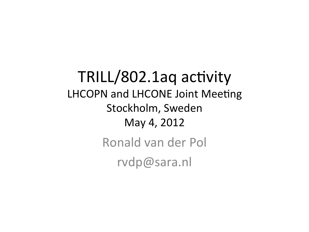TRILL/802.1aq activity LHCOPN and LHCONE Joint Meeting Stockholm, Sweden May 4, 2012 Ronald van der Pol

rvdp@sara.nl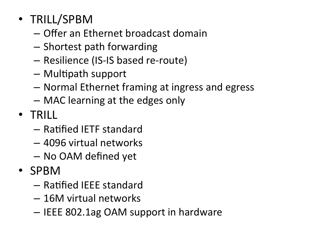- TRILL/SPBM
	- $-$  Offer an Ethernet broadcast domain
	- $-$  Shortest path forwarding
	- Resilience (IS-IS based re-route)
	- $-$  Multipath support
	- $-$  Normal Ethernet framing at ingress and egress
	- $-$  MAC learning at the edges only
- TRILL
	- $-$  Ratified IETF standard
	- 4096 virtual networks
	- No OAM defined yet
- SPBM
	- $-$  Ratified IEEE standard
	- 16M virtual networks
	- $-$  IEEE 802.1ag OAM support in hardware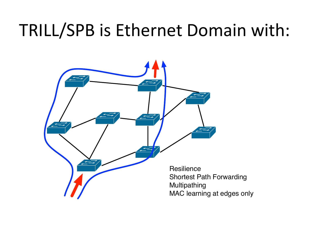#### TRILL/SPB is Ethernet Domain with:



Shortest Path Forwarding MAC learning at edges only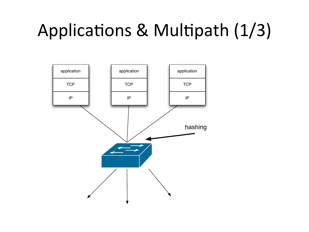# Applications & Multipath (1/3)

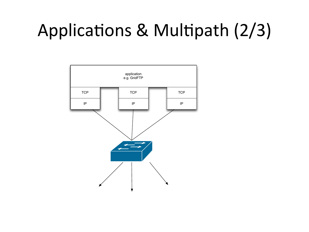### Applications & Multipath (2/3)

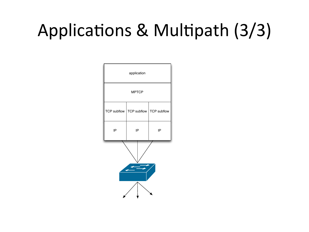# Applications & Multipath (3/3)

| application  |                                         |    |
|--------------|-----------------------------------------|----|
| <b>MPTCP</b> |                                         |    |
|              | TCP subflow   TCP subflow   TCP subflow |    |
| IP           | ΙP                                      | IP |
|              |                                         |    |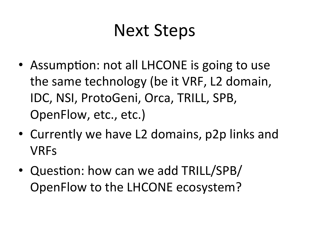#### Next Steps

- Assumption: not all LHCONE is going to use the same technology (be it VRF, L2 domain, IDC, NSI, ProtoGeni, Orca, TRILL, SPB, OpenFlow, etc., etc.)
- Currently we have L2 domains, p2p links and VRFs
- Question: how can we add TRILL/SPB/ OpenFlow to the LHCONE ecosystem?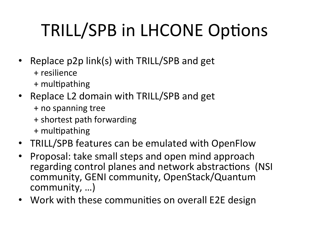# TRILL/SPB in LHCONE Options

- Replace p2p link(s) with TRILL/SPB and get + resilience
	- + multipathing
- Replace L2 domain with TRILL/SPB and get
	- + no spanning tree
	- + shortest path forwarding
	- + multipathing
- TRILL/SPB features can be emulated with OpenFlow
- Proposal: take small steps and open mind approach regarding control planes and network abstractions (NSI community, GENI community, OpenStack/Quantum community, ...)
- Work with these communities on overall E2E design